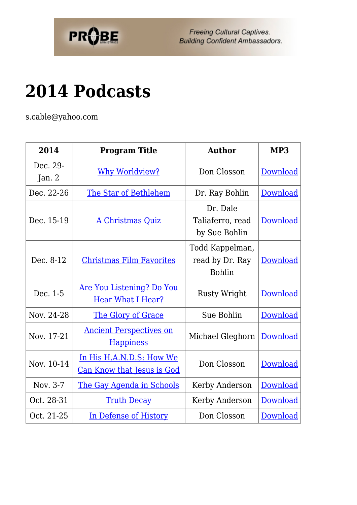

Freeing Cultural Captives. **Building Confident Ambassadors.** 

## **[2014 Podcasts](https://probe.org/2014-podcasts/)**

s.cable@yahoo.com

| 2014               | <b>Program Title</b>                                         | <b>Author</b>                                       | MP3             |
|--------------------|--------------------------------------------------------------|-----------------------------------------------------|-----------------|
| Dec. 29-<br>Jan. 2 | <b>Why Worldview?</b>                                        | Don Closson                                         | Download        |
| Dec. 22-26         | The Star of Bethlehem                                        | Dr. Ray Bohlin                                      | Download        |
| Dec. 15-19         | <b>A Christmas Quiz</b>                                      | Dr. Dale<br>Taliaferro, read<br>by Sue Bohlin       | <b>Download</b> |
| Dec. 8-12          | <b>Christmas Film Favorites</b>                              | Todd Kappelman,<br>read by Dr. Ray<br><b>Bohlin</b> | Download        |
| Dec. 1-5           | <u>Are You Listening? Do You</u><br><b>Hear What I Hear?</b> | <b>Rusty Wright</b>                                 | <b>Download</b> |
| Nov. 24-28         | The Glory of Grace                                           | Sue Bohlin                                          | Download        |
| Nov. 17-21         | <b>Ancient Perspectives on</b><br><b>Happiness</b>           | Michael Gleghorn                                    | Download        |
| Nov. 10-14         | In His H.A.N.D.S: How We<br>Can Know that Jesus is God       | Don Closson                                         | Download        |
| Nov. 3-7           | The Gay Agenda in Schools                                    | Kerby Anderson                                      | Download        |
| Oct. 28-31         | <b>Truth Decay</b>                                           | Kerby Anderson                                      | Download        |
| Oct. 21-25         | In Defense of History                                        | Don Closson                                         | <u>Download</u> |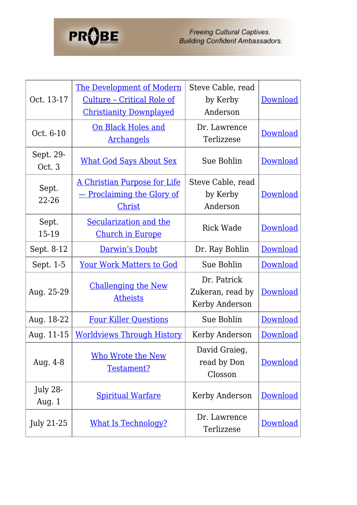

| Oct. 13-17           | The Development of Modern<br><u>Culture - Critical Role of</u><br><b>Christianity Downplayed</b> | Steve Cable, read<br>by Kerby<br>Anderson         | <b>Download</b> |
|----------------------|--------------------------------------------------------------------------------------------------|---------------------------------------------------|-----------------|
| Oct. 6-10            | <u>On Black Holes and</u><br><b>Archangels</b>                                                   | Dr. Lawrence<br>Terlizzese                        | Download        |
| Sept. 29-<br>Oct. 3  | <b>What God Says About Sex</b>                                                                   | Sue Bohlin                                        | Download        |
| Sept.<br>22-26       | A Christian Purpose for Life<br><u>— Proclaiming the Glory of</u><br>Christ                      | Steve Cable, read<br>by Kerby<br>Anderson         | Download        |
| Sept.<br>15-19       | Secularization and the<br><b>Church in Europe</b>                                                | <b>Rick Wade</b>                                  | Download        |
| Sept. 8-12           | Darwin's Doubt                                                                                   | Dr. Ray Bohlin                                    | Download        |
| Sept. 1-5            | <b>Your Work Matters to God</b>                                                                  | Sue Bohlin                                        | Download        |
| Aug. 25-29           | <b>Challenging the New</b><br><b>Atheists</b>                                                    | Dr. Patrick<br>Zukeran, read by<br>Kerby Anderson | Download        |
| Aug. 18-22           | <b>Four Killer Questions</b>                                                                     | Sue Bohlin                                        | Download        |
| Aug. 11-15           | <b>Worldviews Through History</b>                                                                | Kerby Anderson                                    | Download        |
| Aug. 4-8             | Who Wrote the New<br>Testament?                                                                  | David Graieg,<br>read by Don<br>Closson           | <b>Download</b> |
| July 28-<br>Aug. $1$ | <b>Spiritual Warfare</b>                                                                         | Kerby Anderson                                    | <b>Download</b> |
| July 21-25           | <b>What Is Technology?</b>                                                                       | Dr. Lawrence<br>Terlizzese                        | <b>Download</b> |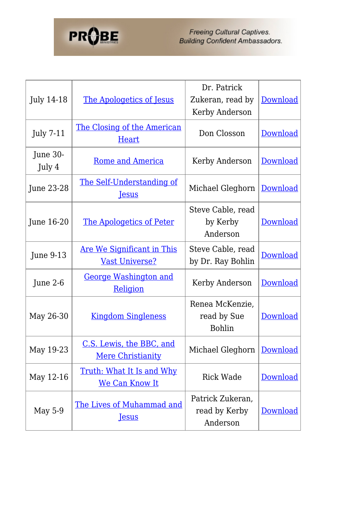## **PROBE**

Freeing Cultural Captives.<br>Building Confident Ambassadors.

| July 14-18         | The Apologetics of Jesus                                   | Dr. Patrick<br>Zukeran, read by<br>Kerby Anderson | <b>Download</b> |
|--------------------|------------------------------------------------------------|---------------------------------------------------|-----------------|
| <b>July 7-11</b>   | <u>The Closing of the American</u><br>Heart                | Don Closson                                       | <b>Download</b> |
| June 30-<br>July 4 | <u>Rome and America</u>                                    | Kerby Anderson                                    | <b>Download</b> |
| June 23-28         | <u>The Self-Understanding of</u><br><b>Jesus</b>           | Michael Gleghorn                                  | <b>Download</b> |
| June 16-20         | <u>The Apologetics of Peter</u>                            | Steve Cable, read<br>by Kerby<br>Anderson         | <b>Download</b> |
| <b>June 9-13</b>   | <u>Are We Significant in This</u><br><b>Vast Universe?</b> | Steve Cable, read<br>by Dr. Ray Bohlin            | Download        |
| June $2-6$         | <b>George Washington and</b><br>Religion                   | Kerby Anderson                                    | Download        |
| May 26-30          | <b>Kingdom Singleness</b>                                  | Renea McKenzie,<br>read by Sue<br><b>Bohlin</b>   | <b>Download</b> |
| May 19-23          | C.S. Lewis, the BBC, and<br><b>Mere Christianity</b>       | Michael Gleghorn   Download                       |                 |
| May 12-16          | Truth: What It Is and Why<br><u>We Can Know It</u>         | <b>Rick Wade</b>                                  | <b>Download</b> |
| May 5-9            | <b>The Lives of Muhammad and</b><br><b>Jesus</b>           | Patrick Zukeran,<br>read by Kerby<br>Anderson     | Download        |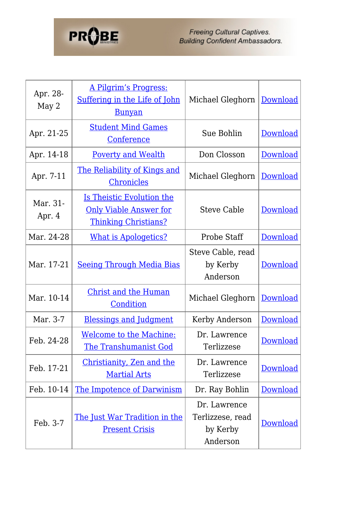## **PROBE**

Freeing Cultural Captives.<br>Building Confident Ambassadors.

| Apr. 28-<br>May 2  | <u>A Pilgrim's Progress:</u><br>Suffering in the Life of John<br><u>Bunyan</u>            | Michael Gleghorn                                         | Download        |
|--------------------|-------------------------------------------------------------------------------------------|----------------------------------------------------------|-----------------|
| Apr. 21-25         | <b>Student Mind Games</b><br>Conference                                                   | Sue Bohlin                                               | Download        |
| Apr. 14-18         | <b>Poverty and Wealth</b>                                                                 | Don Closson                                              | Download        |
| Apr. 7-11          | <u>The Reliability of Kings and</u><br><b>Chronicles</b>                                  | Michael Gleghorn                                         | <b>Download</b> |
| Mar. 31-<br>Apr. 4 | Is Theistic Evolution the<br><b>Only Viable Answer for</b><br><b>Thinking Christians?</b> | <b>Steve Cable</b>                                       | <b>Download</b> |
| Mar. 24-28         | <b>What is Apologetics?</b>                                                               | Probe Staff                                              | Download        |
| Mar. 17-21         | <u>Seeing Through Media Bias</u>                                                          | Steve Cable, read<br>by Kerby<br>Anderson                | <b>Download</b> |
| Mar. 10-14         | <u>Christ and the Human</u><br>Condition                                                  | Michael Gleghorn                                         | <b>Download</b> |
| Mar. 3-7           | <b>Blessings and Judgment</b>                                                             | Kerby Anderson                                           | <b>Download</b> |
| Feb. 24-28         | <u>Welcome to the Machine:</u><br><u>The Transhumanist God</u>                            | Dr. Lawrence<br>Terlizzese                               | <b>Download</b> |
| Feb. 17-21         | Christianity, Zen and the<br><b>Martial Arts</b>                                          | Dr. Lawrence<br>Terlizzese                               | <b>Download</b> |
| Feb. 10-14         | <u>The Impotence of Darwinism</u>                                                         | Dr. Ray Bohlin                                           | <u>Download</u> |
| Feb. 3-7           | <u>The Just War Tradition in the</u><br><b>Present Crisis</b>                             | Dr. Lawrence<br>Terlizzese, read<br>by Kerby<br>Anderson | <b>Download</b> |